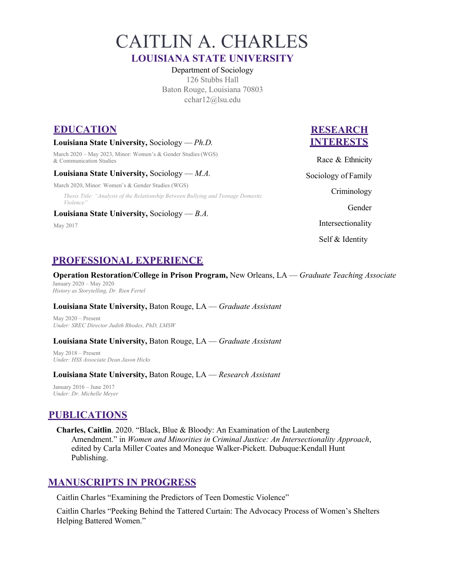CAITLIN A. CHARLES

## **LOUISIANA STATE UNIVERSITY**

 Department of Sociology Baton Rouge, Louisiana 70803 126 Stubbs Hall cchar12@lsu.edu

## **EDUCATION RESEARCH**

## **Louisiana State University,** Sociology — *Ph.D.* **INTERESTS**

 March 2020 – May 2023, Minor: Women's & Gender Studies (WGS)  $\&$  Communication Studies Race  $\&$  Ethnicity

## **Louisiana State University,** Sociology — *M.A.* Sociology of Family

March 2020, Minor: Women's & Gender Studies (WGS)

*Thesis Title: "Analysis of the Relationship Between Bullying and Teenage Domestic* **<b>Criminology** *Violence"* Gender

#### **Louisiana State University,** Sociology — *B.A.*

Sociology of Family Self & Identity May 2017 **Intersectionality** 

# **PROFESSIONAL EXPERIENCE**

 **Operation Restoration/College in Prison Program,** New Orleans, LA — *Graduate Teaching Associate*  January 2020 – May 2020

 *History as Storytelling, Dr. Rien Fertel* 

### **Louisiana State University,** Baton Rouge, LA — *Graduate Assistant*

 May 2020 – Present  *Under: SREC Director Judith Rhodes, PhD, LMSW* 

#### **Louisiana State University,** Baton Rouge, LA — *Graduate Assistant*

 May 2018 – Present  *Under: HSS Associate Dean Jason Hicks* 

#### **Louisiana State University,** Baton Rouge, LA — *Research Assistant*

 January 2016 – June 2017  *Under: Dr. Michelle Meyer* 

# **PUBLICATIONS**

 Amendment." in *Women and Minorities in Criminal Justice: An Intersectionality Approach*, **Charles, Caitlin**. 2020. "Black, Blue & Bloody: An Examination of the Lautenberg edited by Carla Miller Coates and Moneque Walker-Pickett. Dubuque:Kendall Hunt Publishing.

## **MANUSCRIPTS IN PROGRESS**

Caitlin Charles "Examining the Predictors of Teen Domestic Violence"

 Caitlin Charles "Peeking Behind the Tattered Curtain: The Advocacy Process of Women's Shelters Helping Battered Women."